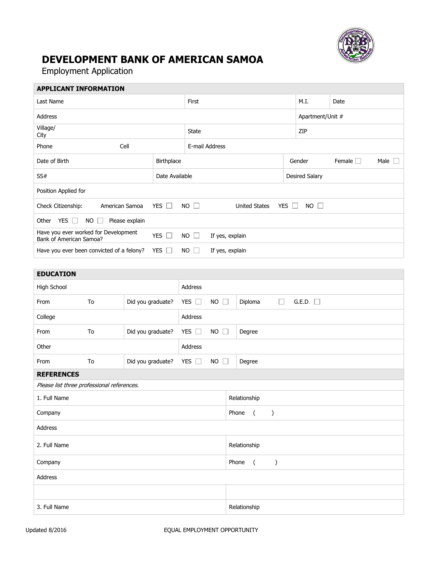

## **DEVELOPMENT BANK OF AMERICAN SAMOA**

Employment Application

| <b>APPLICANT INFORMATION</b>                                    |                   |             |                      |            |                       |               |                |  |  |
|-----------------------------------------------------------------|-------------------|-------------|----------------------|------------|-----------------------|---------------|----------------|--|--|
| Last Name                                                       |                   |             |                      | M.I.       | Date                  |               |                |  |  |
| <b>Address</b>                                                  |                   |             | Apartment/Unit #     |            |                       |               |                |  |  |
| Village/<br>City                                                |                   |             |                      | ZIP        |                       |               |                |  |  |
| Cell<br>Phone                                                   |                   |             | E-mail Address       |            |                       |               |                |  |  |
| Date of Birth                                                   | <b>Birthplace</b> |             |                      |            | Gender                | Female $\Box$ | Male $\square$ |  |  |
| SS#                                                             | Date Available    |             |                      |            | <b>Desired Salary</b> |               |                |  |  |
| Position Applied for                                            |                   |             |                      |            |                       |               |                |  |  |
| American Samoa<br>Check Citizenship:                            | YES $\Box$        | $NO$ $\Box$ | <b>United States</b> | YES $\Box$ | $NO$ $\Box$           |               |                |  |  |
| YES $\Box$<br><b>NO</b><br>Please explain<br>Other<br>г         |                   |             |                      |            |                       |               |                |  |  |
| Have you ever worked for Development<br>Bank of American Samoa? | YES $\Box$        | $NO$ $\Box$ | If yes, explain      |            |                       |               |                |  |  |
| Have you ever been convicted of a felony?                       | YES $\Box$        | $NO$ $\Box$ | If yes, explain      |            |                       |               |                |  |  |
|                                                                 |                   |             |                      |            |                       |               |                |  |  |

| <b>EDUCATION</b>                           |    |                   |               |                     |                                            |  |  |  |  |
|--------------------------------------------|----|-------------------|---------------|---------------------|--------------------------------------------|--|--|--|--|
| High School                                |    | Address           |               |                     |                                            |  |  |  |  |
| From                                       | To | Did you graduate? | YES $\Box$    | NO $\square$        | Diploma<br>G.E.D.<br>$\Box$                |  |  |  |  |
| College                                    |    | Address           |               |                     |                                            |  |  |  |  |
| From                                       | To | Did you graduate? | YES $\Box$    | <b>NO</b><br>$\Box$ | Degree                                     |  |  |  |  |
| Other                                      |    | Address           |               |                     |                                            |  |  |  |  |
| From                                       | To | Did you graduate? | YES $\square$ | $NO \square$        | Degree                                     |  |  |  |  |
| <b>REFERENCES</b>                          |    |                   |               |                     |                                            |  |  |  |  |
| Please list three professional references. |    |                   |               |                     |                                            |  |  |  |  |
| 1. Full Name                               |    |                   |               |                     | Relationship                               |  |  |  |  |
| Company                                    |    |                   |               |                     | Phone<br>$\overline{(\ }$<br>$\mathcal{C}$ |  |  |  |  |
| Address                                    |    |                   |               |                     |                                            |  |  |  |  |
| 2. Full Name                               |    |                   |               |                     | Relationship                               |  |  |  |  |
| Company                                    |    |                   |               |                     | Phone<br>$\overline{(\ }$<br>$\mathcal{E}$ |  |  |  |  |
| Address                                    |    |                   |               |                     |                                            |  |  |  |  |
|                                            |    |                   |               |                     |                                            |  |  |  |  |
| 3. Full Name                               |    |                   |               |                     | Relationship                               |  |  |  |  |